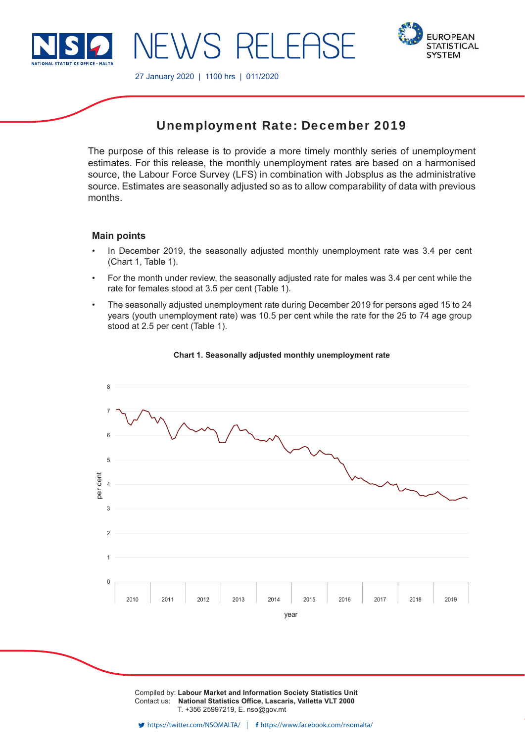

**EUROPEAN STATISTICAL SYSTEM** 

27 January 2020 | 1100 hrs | 011/2020

# Unemployment Rate: December 2019

The purpose of this release is to provide a more timely monthly series of unemployment estimates. For this release, the monthly unemployment rates are based on a harmonised source, the Labour Force Survey (LFS) in combination with Jobsplus as the administrative source. Estimates are seasonally adjusted so as to allow comparability of data with previous months.

# **Main points**

- In December 2019, the seasonally adjusted monthly unemployment rate was 3.4 per cent (Chart 1, Table 1).
- For the month under review, the seasonally adjusted rate for males was 3.4 per cent while the rate for females stood at 3.5 per cent (Table 1).
- The seasonally adjusted unemployment rate during December 2019 for persons aged 15 to 24 years (youth unemployment rate) was 10.5 per cent while the rate for the 25 to 74 age group stood at 2.5 per cent (Table 1).



# **Chart 1. Seasonally adjusted monthly unemployment rate**

Compiled by: **Labour Market and Information Society Statistics Unit** Contact us: National Statistics Office, Lascaris, Valletta VLT 2000 T. +356 25997219, E. nso@gov.mt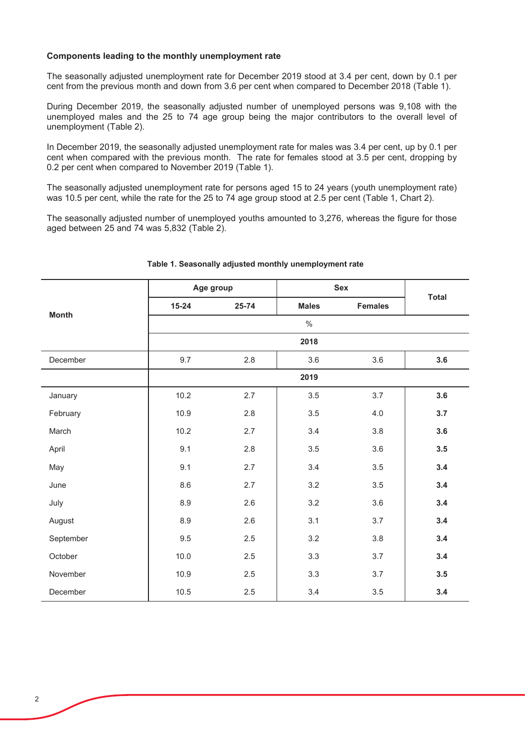# Components leading to the monthly unemployment rate

The seasonally adjusted unemployment rate for December 2019 stood at 3.4 per cent, down by 0.1 per cent from the previous month and down from 3.6 per cent when compared to December 2018 (Table 1).

During December 2019, the seasonally adjusted number of unemployed persons was 9,108 with the unemployed males and the 25 to 74 age group being the major contributors to the overall level of unemployment (Table 2).

In December 2019, the seasonally adjusted unemployment rate for males was 3.4 per cent, up by 0.1 per cent when compared with the previous month. The rate for females stood at 3.5 per cent, dropping by 0.2 per cent when compared to November 2019 (Table 1).

The seasonally adjusted unemployment rate for persons aged 15 to 24 years (youth unemployment rate) was 10.5 per cent, while the rate for the 25 to 74 age group stood at 2.5 per cent (Table 1, Chart 2).

The seasonally adjusted number of unemployed youths amounted to 3,276, whereas the figure for those aged between 25 and 74 was 5,832 (Table 2).

| <b>Month</b> | Age group |       | <b>Sex</b>   |                | <b>Total</b> |  |  |
|--------------|-----------|-------|--------------|----------------|--------------|--|--|
|              | $15 - 24$ | 25-74 | <b>Males</b> | <b>Females</b> |              |  |  |
|              |           |       | $\%$         |                |              |  |  |
|              | 2018      |       |              |                |              |  |  |
| December     | 9.7       | 2.8   | 3.6          | 3.6            | 3.6          |  |  |
|              |           |       | 2019         |                |              |  |  |
| January      | 10.2      | 2.7   | 3.5          | 3.7            | 3.6          |  |  |
| February     | 10.9      | 2.8   | 3.5          | 4.0            | 3.7          |  |  |
| March        | 10.2      | 2.7   | 3.4          | 3.8            | 3.6          |  |  |
| April        | 9.1       | 2.8   | 3.5          | 3.6            | 3.5          |  |  |
| May          | 9.1       | 2.7   | 3.4          | 3.5            | 3.4          |  |  |
| June         | 8.6       | 2.7   | 3.2          | 3.5            | 3.4          |  |  |
| July         | 8.9       | 2.6   | 3.2          | 3.6            | 3.4          |  |  |
| August       | 8.9       | 2.6   | 3.1          | 3.7            | 3.4          |  |  |
| September    | $9.5\,$   | 2.5   | 3.2          | 3.8            | 3.4          |  |  |
| October      | 10.0      | 2.5   | 3.3          | 3.7            | 3.4          |  |  |
| November     | 10.9      | 2.5   | 3.3          | 3.7            | 3.5          |  |  |
| December     | 10.5      | 2.5   | 3.4          | 3.5            | 3.4          |  |  |

# Table 1. Seasonally adjusted monthly unemployment rate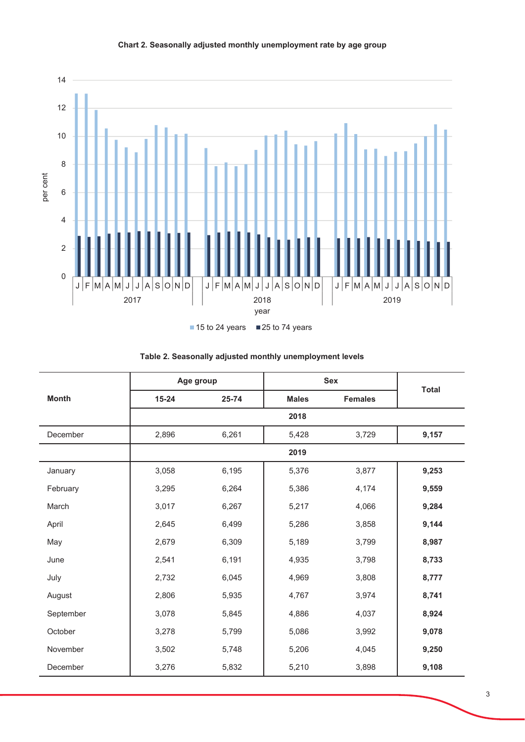

| <b>Month</b> |           | Age group |              | <b>Sex</b>     |              |  |  |  |
|--------------|-----------|-----------|--------------|----------------|--------------|--|--|--|
|              | $15 - 24$ | 25-74     | <b>Males</b> | <b>Females</b> | <b>Total</b> |  |  |  |
|              |           |           | 2018         |                |              |  |  |  |
| December     | 2,896     | 6,261     | 5,428        | 3,729          | 9,157        |  |  |  |
|              |           | 2019      |              |                |              |  |  |  |
| January      | 3,058     | 6,195     | 5,376        | 3,877          | 9,253        |  |  |  |
| February     | 3,295     | 6,264     | 5,386        | 4,174          | 9,559        |  |  |  |
| March        | 3,017     | 6,267     | 5,217        | 4,066          | 9,284        |  |  |  |
| April        | 2,645     | 6,499     | 5,286        | 3,858          | 9,144        |  |  |  |
| May          | 2,679     | 6,309     | 5,189        | 3,799          | 8,987        |  |  |  |
| June         | 2,541     | 6,191     | 4,935        | 3,798          | 8,733        |  |  |  |
| July         | 2,732     | 6,045     | 4,969        | 3,808          | 8,777        |  |  |  |
| August       | 2,806     | 5,935     | 4,767        | 3,974          | 8,741        |  |  |  |
| September    | 3,078     | 5,845     | 4,886        | 4,037          | 8,924        |  |  |  |
| October      | 3,278     | 5,799     | 5,086        | 3,992          | 9,078        |  |  |  |
| November     | 3,502     | 5,748     | 5,206        | 4,045          | 9,250        |  |  |  |
| December     | 3,276     | 5,832     | 5,210        | 3,898          | 9,108        |  |  |  |

# Table 2. Seasonally adjusted monthly unemployment levels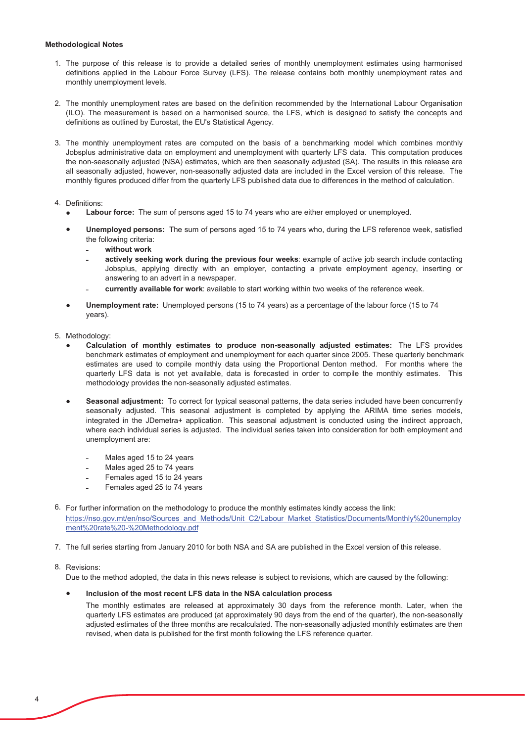#### **Methodological Notes**

- 1. The purpose of this release is to provide a detailed series of monthly unemployment estimates using harmonised definitions applied in the Labour Force Survey (LFS). The release contains both monthly unemployment rates and monthly unemployment levels.
- 2. The monthly unemployment rates are based on the definition recommended by the International Labour Organisation (ILO). The measurement is based on a harmonised source, the LFS, which is designed to satisfy the concepts and definitions as outlined by Eurostat, the EU's Statistical Agency.
- 3. The monthly unemployment rates are computed on the basis of a benchmarking model which combines monthly Jobsplus administrative data on employment and unemployment with quarterly LFS data. This computation produces the non-seasonally adjusted (NSA) estimates, which are then seasonally adjusted (SA). The results in this release are all seasonally adjusted, however, non-seasonally adjusted data are included in the Excel version of this release. The monthly figures produced differ from the quarterly LFS published data due to differences in the method of calculation.

### 4. Definitions:

- Labour force: The sum of persons aged 15 to 74 years who are either employed or unemployed.  $\bullet$
- Unemployed persons: The sum of persons aged 15 to 74 years who, during the LFS reference week, satisfied  $\bullet$ the following criteria:
	- without work
	- actively seeking work during the previous four weeks: example of active job search include contacting Jobsplus, applying directly with an employer, contacting a private employment agency, inserting or answering to an advert in a newspaper.
	- currently available for work: available to start working within two weeks of the reference week.
- Unemployment rate: Unemployed persons (15 to 74 years) as a percentage of the labour force (15 to 74 years).
- 5. Methodology:
	- Calculation of monthly estimates to produce non-seasonally adjusted estimates: The LFS provides benchmark estimates of employment and unemployment for each quarter since 2005. These quarterly benchmark estimates are used to compile monthly data using the Proportional Denton method. For months where the quarterly LFS data is not yet available, data is forecasted in order to compile the monthly estimates. This methodology provides the non-seasonally adjusted estimates.
	- Seasonal adjustment: To correct for typical seasonal patterns, the data series included have been concurrently  $\bullet$ seasonally adjusted. This seasonal adjustment is completed by applying the ARIMA time series models, integrated in the JDemetra+ application. This seasonal adjustment is conducted using the indirect approach, where each individual series is adjusted. The individual series taken into consideration for both employment and unemployment are:
		- Males aged 15 to 24 years
		- Males aged 25 to 74 years
		- Females aged 15 to 24 years
		- Females aged 25 to 74 years
- 6. For further information on the methodology to produce the monthly estimates kindly access the link: https://nso.gov.mt/en/nso/Sources and Methods/Unit C2/Labour Market Statistics/Documents/Monthly%20unemploy ment%20rate%20-%20Methodology.pdf
- 7. The full series starting from January 2010 for both NSA and SA are published in the Excel version of this release.

#### 8 Revisions

Due to the method adopted, the data in this news release is subject to revisions, which are caused by the following:

### Inclusion of the most recent LFS data in the NSA calculation process

The monthly estimates are released at approximately 30 days from the reference month. Later, when the quarterly LFS estimates are produced (at approximately 90 days from the end of the quarter), the non-seasonally adjusted estimates of the three months are recalculated. The non-seasonally adjusted monthly estimates are then revised, when data is published for the first month following the LFS reference quarter.